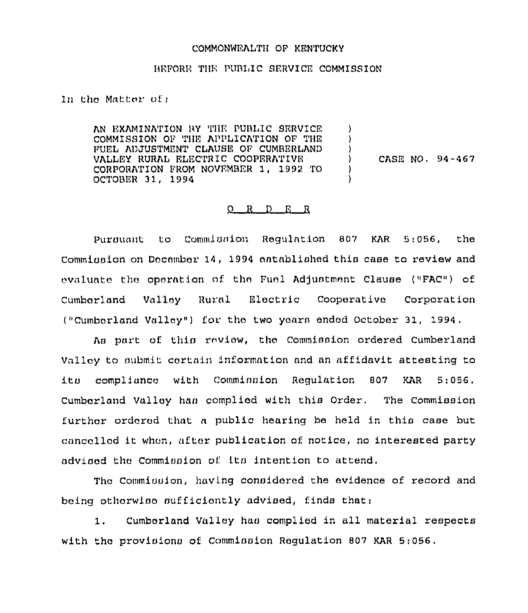## COMMONWEALTH OF KENTUCKY

## BEFORE THE PUBLIC SERVICE COMMISSION

In the Matter of:

AN EXAMINATION BY THE PUBLIC SERVICE  $\lambda$ COMMISSION OF THE APPLICATION OF THE  $\lambda$ FUEL ADJUSTMENT CLAUSE OF CUMBERLAND  $\lambda$ VALLEY RURAL ELECTRIC COOPERATIVE ) CASE NO. 94-467 CORPORATION FROM NOVEMBER 1, 1992 TO 1 OCTOBER 31, 1994

## $Q$  R  $D$  E R

Pursuant to Commission Requiation 807 KAR 5:056, the Commination on December 14, 1994 entablished this case to review and evaluate the operation of the Fuel Adjustment Clause ("FAC") of Valley Rural Electric Cooperative Cumberland Corporation ("Cumberland Valley") for the two years ended October 31, 1994.

As part of this review, the Commission ordered Cumberland Valley to submit certain information and an affidavit attesting to compliance with Comminaton Requlation 807  $\pm$  the state  $\pm$ **KAR**  $5:056.$ Cumberland Valley has complied with this Order. The Commission further ordered that a public hearing be held in this case but cancelled it when, after publication of notice, no interested party advised the Commission of its intention to attend.

The Comminuion, having considered the evidence of record and being otherwise sufficiently advised, finds that:

Cumberland Valley has complied in all material respects  $1.$ with the provisions of Commission Regulation 807 KAR 5:056.